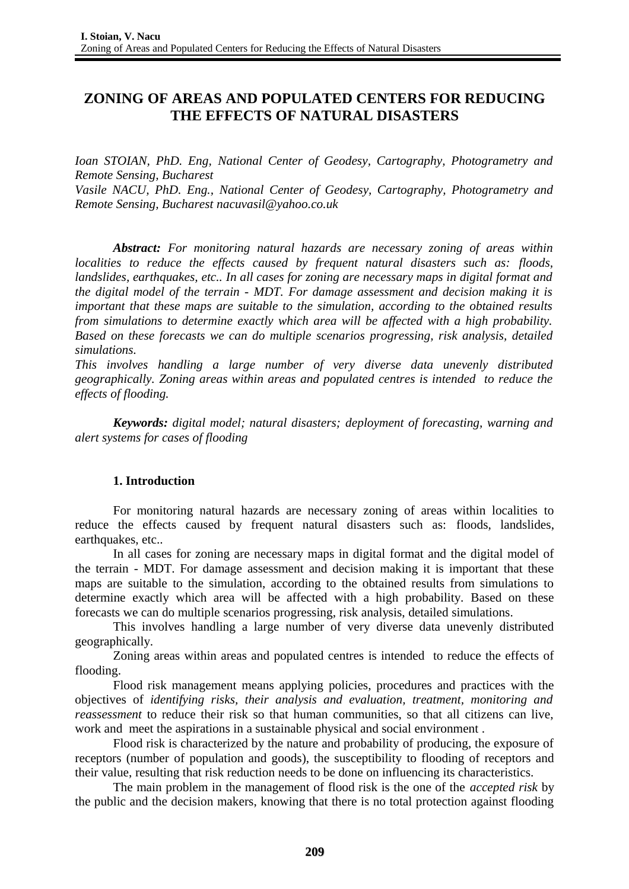# **ZONING OF AREAS AND POPULATED CENTERS FOR REDUCING THE EFFECTS OF NATURAL DISASTERS**

*Ioan STOIAN, PhD. Eng, National Center of Geodesy, Cartography, Photogrametry and Remote Sensing, Bucharest*

*Vasile NACU, PhD. Eng., National Center of Geodesy, Cartography, Photogrametry and Remote Sensing, Bucharest nacuvasil@yahoo.co.uk*

*Abstract: For monitoring natural hazards are necessary zoning of areas within localities to reduce the effects caused by frequent natural disasters such as: floods, landslides, earthquakes, etc.. In all cases for zoning are necessary maps in digital format and the digital model of the terrain - MDT. For damage assessment and decision making it is important that these maps are suitable to the simulation, according to the obtained results from simulations to determine exactly which area will be affected with a high probability. Based on these forecasts we can do multiple scenarios progressing, risk analysis, detailed simulations.*

*This involves handling a large number of very diverse data unevenly distributed geographically. Zoning areas within areas and populated centres is intended to reduce the effects of flooding.*

*Keywords: digital model; natural disasters; deployment of forecasting, warning and alert systems for cases of flooding*

## **1. Introduction**

For monitoring natural hazards are necessary zoning of areas within localities to reduce the effects caused by frequent natural disasters such as: floods, landslides, earthquakes, etc..

In all cases for zoning are necessary maps in digital format and the digital model of the terrain - MDT. For damage assessment and decision making it is important that these maps are suitable to the simulation, according to the obtained results from simulations to determine exactly which area will be affected with a high probability. Based on these forecasts we can do multiple scenarios progressing, risk analysis, detailed simulations.

This involves handling a large number of very diverse data unevenly distributed geographically.

Zoning areas within areas and populated centres is intended to reduce the effects of flooding.

Flood risk management means applying policies, procedures and practices with the objectives of *identifying risks, their analysis and evaluation, treatment, monitoring and reassessment* to reduce their risk so that human communities, so that all citizens can live, work and meet the aspirations in a sustainable physical and social environment .

Flood risk is characterized by the nature and probability of producing, the exposure of receptors (number of population and goods), the susceptibility to flooding of receptors and their value, resulting that risk reduction needs to be done on influencing its characteristics.

The main problem in the management of flood risk is the one of the *accepted risk* by the public and the decision makers, knowing that there is no total protection against flooding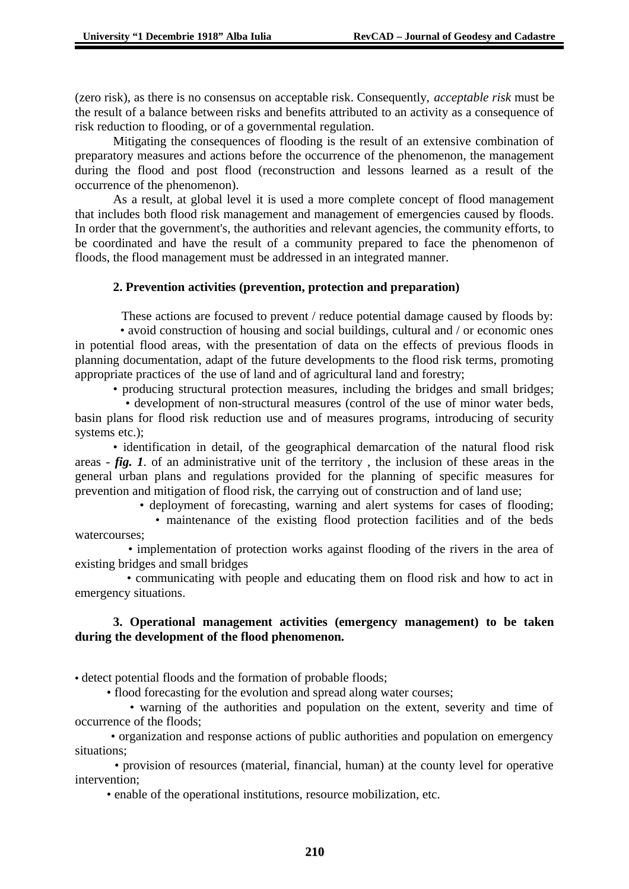(zero risk), as there is no consensus on acceptable risk. Consequently, *acceptable risk* must be the result of a balance between risks and benefits attributed to an activity as a consequence of risk reduction to flooding, or of a governmental regulation.

Mitigating the consequences of flooding is the result of an extensive combination of preparatory measures and actions before the occurrence of the phenomenon, the management during the flood and post flood (reconstruction and lessons learned as a result of the occurrence of the phenomenon).

As a result, at global level it is used a more complete concept of flood management that includes both flood risk management and management of emergencies caused by floods. In order that the government's, the authorities and relevant agencies, the community efforts, to be coordinated and have the result of a community prepared to face the phenomenon of floods, the flood management must be addressed in an integrated manner.

### **2. Prevention activities (prevention, protection and preparation)**

 These actions are focused to prevent / reduce potential damage caused by floods by: • avoid construction of housing and social buildings, cultural and / or economic ones in potential flood areas, with the presentation of data on the effects of previous floods in planning documentation, adapt of the future developments to the flood risk terms, promoting appropriate practices of the use of land and of agricultural land and forestry;

• producing structural protection measures, including the bridges and small bridges;

 • development of non-structural measures (control of the use of minor water beds, basin plans for flood risk reduction use and of measures programs, introducing of security systems etc.);

• identification in detail, of the geographical demarcation of the natural flood risk areas - *fig. 1*. of an administrative unit of the territory , the inclusion of these areas in the general urban plans and regulations provided for the planning of specific measures for prevention and mitigation of flood risk, the carrying out of construction and of land use;

• deployment of forecasting, warning and alert systems for cases of flooding;

 • maintenance of the existing flood protection facilities and of the beds watercourses;

 • implementation of protection works against flooding of the rivers in the area of existing bridges and small bridges

 • communicating with people and educating them on flood risk and how to act in emergency situations.

## **3. Operational management activities (emergency management) to be taken during the development of the flood phenomenon.**

• detect potential floods and the formation of probable floods;

• flood forecasting for the evolution and spread along water courses;

 • warning of the authorities and population on the extent, severity and time of occurrence of the floods;

 • organization and response actions of public authorities and population on emergency situations;

 • provision of resources (material, financial, human) at the county level for operative intervention;

• enable of the operational institutions, resource mobilization, etc.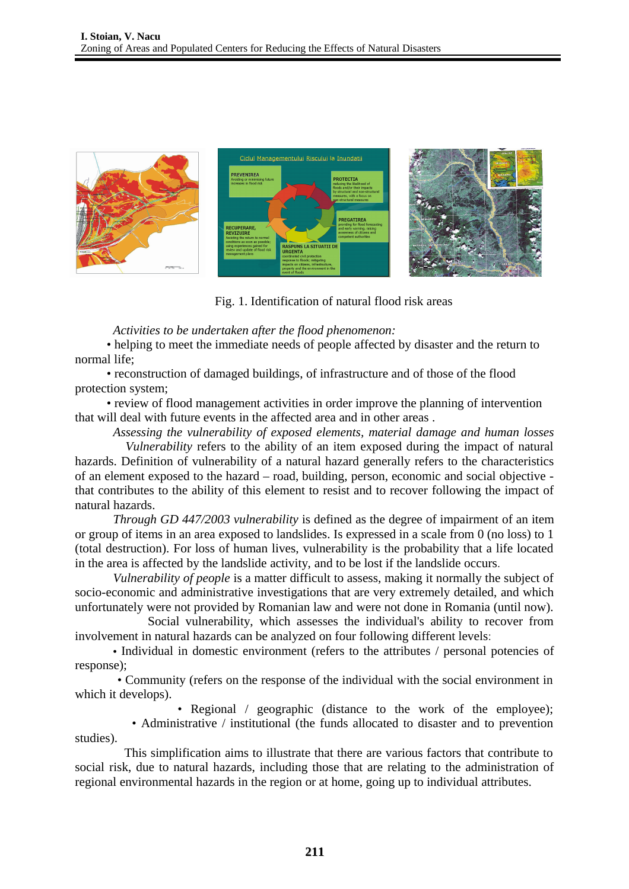

Fig. 1. Identification of natural flood risk areas

*Activities to be undertaken after the flood phenomenon:* 

• helping to meet the immediate needs of people affected by disaster and the return to normal life;

 • reconstruction of damaged buildings, of infrastructure and of those of the flood protection system;

 • review of flood management activities in order improve the planning of intervention that will deal with future events in the affected area and in other areas .

*Assessing the vulnerability of exposed elements, material damage and human losses Vulnerability* refers to the ability of an item exposed during the impact of natural hazards. Definition of vulnerability of a natural hazard generally refers to the characteristics of an element exposed to the hazard – road, building, person, economic and social objective that contributes to the ability of this element to resist and to recover following the impact of natural hazards.

*Through GD 447/2003 vulnerability* is defined as the degree of impairment of an item or group of items in an area exposed to landslides. Is expressed in a scale from 0 (no loss) to 1 (total destruction). For loss of human lives, vulnerability is the probability that a life located in the area is affected by the landslide activity, and to be lost if the landslide occurs.

*Vulnerability of people* is a matter difficult to assess, making it normally the subject of socio-economic and administrative investigations that are very extremely detailed, and which unfortunately were not provided by Romanian law and were not done in Romania (until now).

 Social vulnerability, which assesses the individual's ability to recover from involvement in natural hazards can be analyzed on four following different levels:

• Individual in domestic environment (refers to the attributes / personal potencies of response);

 • Community (refers on the response of the individual with the social environment in which it develops).

• Regional / geographic (distance to the work of the employee);

 • Administrative / institutional (the funds allocated to disaster and to prevention studies).

 This simplification aims to illustrate that there are various factors that contribute to social risk, due to natural hazards, including those that are relating to the administration of regional environmental hazards in the region or at home, going up to individual attributes.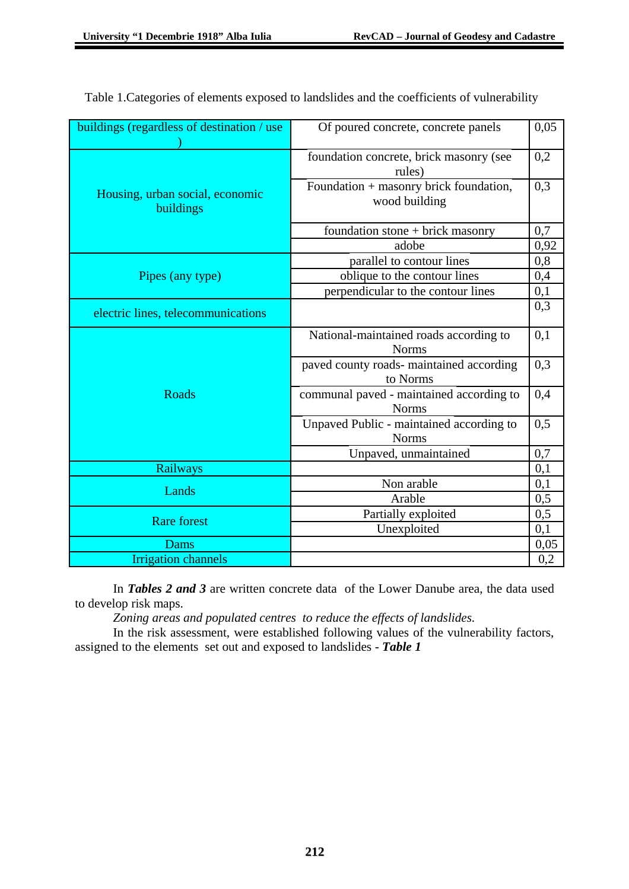| buildings (regardless of destination / use   | Of poured concrete, concrete panels                      |      |
|----------------------------------------------|----------------------------------------------------------|------|
|                                              | foundation concrete, brick masonry (see<br>rules)        |      |
| Housing, urban social, economic<br>buildings | Foundation + masonry brick foundation,<br>wood building  | 0,3  |
|                                              | foundation stone + brick masonry                         | 0,7  |
|                                              | adobe                                                    | 0,92 |
|                                              | parallel to contour lines                                |      |
| Pipes (any type)                             | oblique to the contour lines                             |      |
|                                              | perpendicular to the contour lines                       |      |
| electric lines, telecommunications           |                                                          | 0,3  |
|                                              | National-maintained roads according to<br><b>Norms</b>   | 0,1  |
|                                              | paved county roads- maintained according<br>to Norms     |      |
| <b>Roads</b>                                 | communal paved - maintained according to<br><b>Norms</b> |      |
|                                              | Unpaved Public - maintained according to<br><b>Norms</b> |      |
|                                              | Unpaved, unmaintained                                    | 0,7  |
| <b>Railways</b>                              |                                                          | 0,1  |
| Lands                                        | Non arable                                               | 0,1  |
|                                              | Arable                                                   | 0,5  |
| <b>Rare forest</b>                           | Partially exploited                                      | 0,5  |
|                                              | Unexploited                                              | 0,1  |
| Dams                                         |                                                          | 0,05 |
| <b>Irrigation channels</b>                   |                                                          | 0,2  |

Table 1.Categories of elements exposed to landslides and the coefficients of vulnerability

In *Tables 2 and 3* are written concrete data of the Lower Danube area, the data used to develop risk maps.

*Zoning areas and populated centres to reduce the effects of landslides.*

In the risk assessment, were established following values of the vulnerability factors, assigned to the elements set out and exposed to landslides - *Table 1*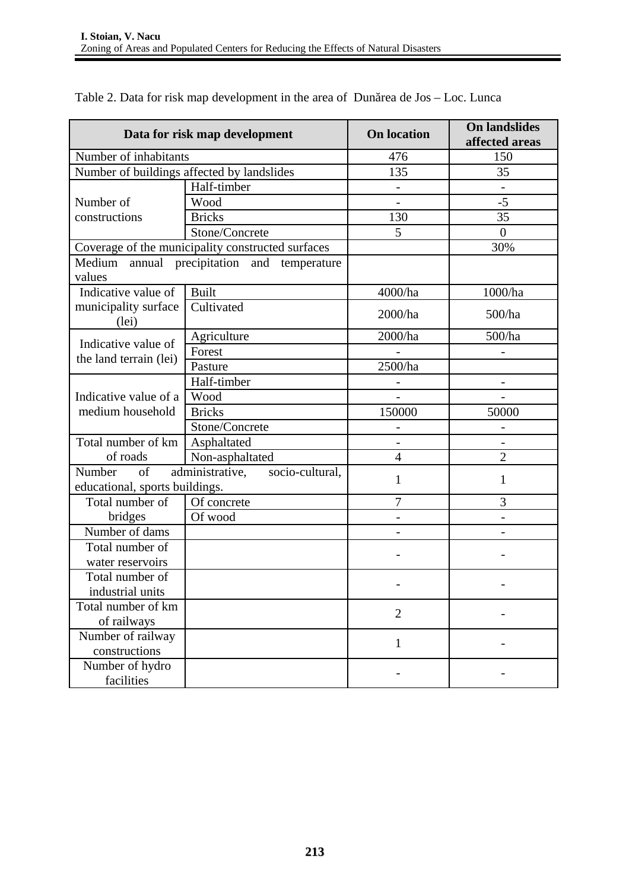| Data for risk map development                                                               |                                      | <b>On location</b>       | <b>On landslides</b><br>affected areas |
|---------------------------------------------------------------------------------------------|--------------------------------------|--------------------------|----------------------------------------|
| Number of inhabitants                                                                       |                                      | 476                      | 150                                    |
| Number of buildings affected by landslides                                                  |                                      | 135                      | 35                                     |
|                                                                                             | Half-timber                          | -                        |                                        |
| Number of                                                                                   | Wood                                 |                          | $-5$                                   |
| constructions                                                                               | <b>Bricks</b>                        | 130                      | 35                                     |
|                                                                                             | Stone/Concrete                       | 5                        | $\mathbf{0}$                           |
| Coverage of the municipality constructed surfaces                                           |                                      |                          | 30%                                    |
| Medium<br>values                                                                            | annual precipitation and temperature |                          |                                        |
| Indicative value of                                                                         | <b>Built</b>                         | 4000/ha                  | 1000/ha                                |
| municipality surface<br>(lei)                                                               | Cultivated                           | 2000/ha                  | 500/ha                                 |
|                                                                                             | Agriculture                          | 2000/ha                  | 500/ha                                 |
| Indicative value of                                                                         | Forest                               |                          |                                        |
| the land terrain (lei)                                                                      | Pasture                              | 2500/ha                  |                                        |
|                                                                                             | Half-timber                          |                          |                                        |
| Indicative value of a<br>medium household                                                   | Wood                                 |                          |                                        |
|                                                                                             | <b>Bricks</b>                        | 150000                   | 50000                                  |
|                                                                                             | Stone/Concrete                       |                          |                                        |
| Total number of km                                                                          | Asphaltated                          | $\overline{\phantom{a}}$ | -                                      |
| of roads                                                                                    | Non-asphaltated                      | $\overline{4}$           | $\overline{2}$                         |
| <b>Number</b><br>of<br>administrative,<br>socio-cultural,<br>educational, sports buildings. |                                      | $\mathbf{1}$             | $\mathbf{1}$                           |
| Total number of                                                                             | Of concrete                          | 7                        | 3                                      |
| bridges                                                                                     | Of wood                              |                          |                                        |
| Number of dams                                                                              |                                      |                          |                                        |
| Total number of                                                                             |                                      |                          |                                        |
| water reservoirs                                                                            |                                      |                          |                                        |
| Total number of                                                                             |                                      |                          |                                        |
| industrial units                                                                            |                                      |                          |                                        |
| Total number of km                                                                          |                                      | $\overline{2}$           |                                        |
| of railways                                                                                 |                                      |                          |                                        |
| Number of railway                                                                           |                                      | $\mathbf{1}$             |                                        |
| constructions                                                                               |                                      |                          |                                        |
| Number of hydro                                                                             |                                      |                          |                                        |
| facilities                                                                                  |                                      |                          |                                        |

Table 2. Data for risk map development in the area of Dunărea de Jos – Loc. Lunca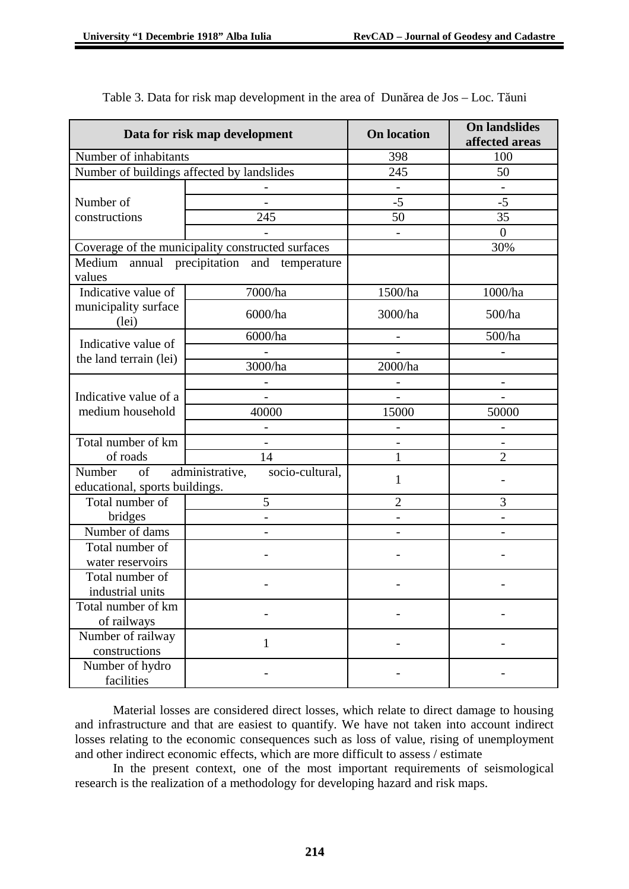| Data for risk map development                                                        |                                            | <b>On location</b>       | <b>On landslides</b><br>affected areas |
|--------------------------------------------------------------------------------------|--------------------------------------------|--------------------------|----------------------------------------|
| Number of inhabitants                                                                |                                            | 398                      | 100                                    |
|                                                                                      | Number of buildings affected by landslides | 245                      | 50                                     |
|                                                                                      |                                            | $\blacksquare$           |                                        |
| Number of                                                                            |                                            | $-5$                     | $-5$                                   |
| constructions                                                                        | 245                                        | 50                       | 35                                     |
|                                                                                      |                                            |                          | $\boldsymbol{0}$                       |
| Coverage of the municipality constructed surfaces                                    |                                            |                          | 30%                                    |
| Medium annual precipitation and temperature<br>values                                |                                            |                          |                                        |
| Indicative value of<br>municipality surface<br>(lei)                                 | 7000/ha                                    | 1500/ha                  | 1000/ha                                |
|                                                                                      | 6000/ha                                    | 3000/ha                  | 500/ha                                 |
|                                                                                      | 6000/ha                                    | $\overline{\phantom{0}}$ | 500/ha                                 |
| Indicative value of                                                                  |                                            |                          |                                        |
| the land terrain (lei)                                                               | 3000/ha                                    | 2000/ha                  |                                        |
|                                                                                      |                                            |                          |                                        |
| Indicative value of a<br>medium household                                            |                                            |                          |                                        |
|                                                                                      | 40000                                      | 15000                    | 50000                                  |
|                                                                                      |                                            |                          |                                        |
| Total number of km                                                                   |                                            |                          |                                        |
| of roads                                                                             | 14                                         | 1                        | $\overline{2}$                         |
| Number<br>of<br>administrative,<br>socio-cultural,<br>educational, sports buildings. |                                            | $\mathbf{1}$             |                                        |
| Total number of                                                                      | 5                                          | $\overline{2}$           | 3                                      |
| bridges                                                                              | $\blacksquare$                             | $\blacksquare$           | $\overline{\phantom{a}}$               |
| Number of dams                                                                       |                                            |                          |                                        |
| Total number of                                                                      |                                            |                          |                                        |
| water reservoirs                                                                     |                                            |                          |                                        |
| Total number of                                                                      |                                            |                          |                                        |
| industrial units                                                                     |                                            |                          |                                        |
| Total number of km                                                                   |                                            |                          |                                        |
| of railways                                                                          |                                            |                          |                                        |
| Number of railway                                                                    | $\mathbf{1}$                               |                          |                                        |
| constructions                                                                        |                                            |                          |                                        |
| Number of hydro<br>facilities                                                        |                                            |                          |                                        |

Table 3. Data for risk map development in the area of Dunărea de Jos – Loc. Tăuni

Material losses are considered direct losses, which relate to direct damage to housing and infrastructure and that are easiest to quantify. We have not taken into account indirect losses relating to the economic consequences such as loss of value, rising of unemployment and other indirect economic effects, which are more difficult to assess / estimate

In the present context, one of the most important requirements of seismological research is the realization of a methodology for developing hazard and risk maps.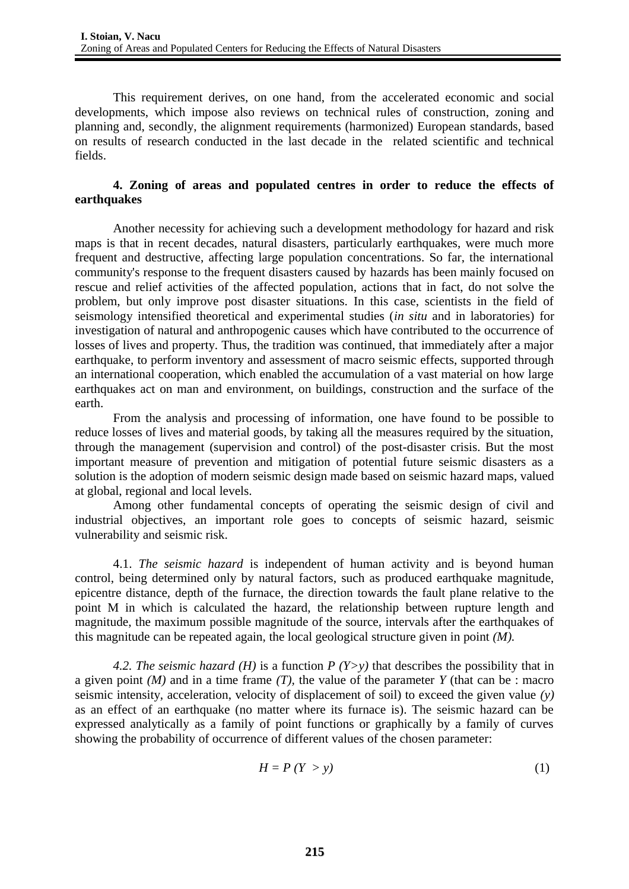This requirement derives, on one hand, from the accelerated economic and social developments, which impose also reviews on technical rules of construction, zoning and planning and, secondly, the alignment requirements (harmonized) European standards, based on results of research conducted in the last decade in the related scientific and technical fields.

## **4. Zoning of areas and populated centres in order to reduce the effects of earthquakes**

Another necessity for achieving such a development methodology for hazard and risk maps is that in recent decades, natural disasters, particularly earthquakes, were much more frequent and destructive, affecting large population concentrations. So far, the international community's response to the frequent disasters caused by hazards has been mainly focused on rescue and relief activities of the affected population, actions that in fact, do not solve the problem, but only improve post disaster situations. In this case, scientists in the field of seismology intensified theoretical and experimental studies (*in situ* and in laboratories) for investigation of natural and anthropogenic causes which have contributed to the occurrence of losses of lives and property. Thus, the tradition was continued, that immediately after a major earthquake, to perform inventory and assessment of macro seismic effects, supported through an international cooperation, which enabled the accumulation of a vast material on how large earthquakes act on man and environment, on buildings, construction and the surface of the earth.

From the analysis and processing of information, one have found to be possible to reduce losses of lives and material goods, by taking all the measures required by the situation, through the management (supervision and control) of the post-disaster crisis. But the most important measure of prevention and mitigation of potential future seismic disasters as a solution is the adoption of modern seismic design made based on seismic hazard maps, valued at global, regional and local levels.

Among other fundamental concepts of operating the seismic design of civil and industrial objectives, an important role goes to concepts of seismic hazard, seismic vulnerability and seismic risk.

4.1. *The seismic hazard* is independent of human activity and is beyond human control, being determined only by natural factors, such as produced earthquake magnitude, epicentre distance, depth of the furnace, the direction towards the fault plane relative to the point M in which is calculated the hazard, the relationship between rupture length and magnitude, the maximum possible magnitude of the source, intervals after the earthquakes of this magnitude can be repeated again, the local geological structure given in point *(M).*

*4.2. The seismic hazard (H)* is a function *P (Y>y)* that describes the possibility that in a given point *(M)* and in a time frame *(T),* the value of the parameter *Y* (that can be : macro seismic intensity, acceleration, velocity of displacement of soil) to exceed the given value *(y)* as an effect of an earthquake (no matter where its furnace is). The seismic hazard can be expressed analytically as a family of point functions or graphically by a family of curves showing the probability of occurrence of different values of the chosen parameter:

$$
H = P(Y > y) \tag{1}
$$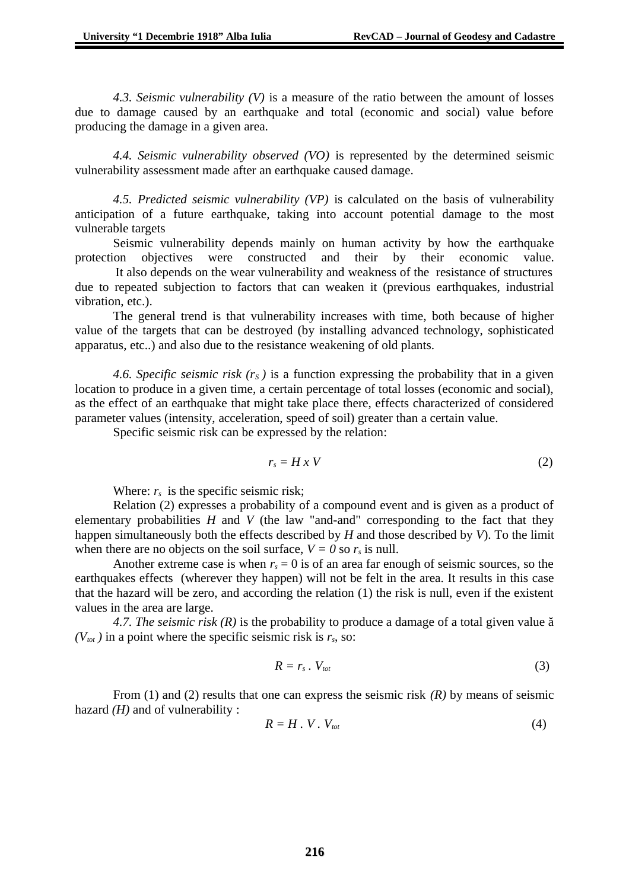*4.3. Seismic vulnerability (V)* is a measure of the ratio between the amount of losses due to damage caused by an earthquake and total (economic and social) value before producing the damage in a given area.

*4.4. Seismic vulnerability observed (VO)* is represented by the determined seismic vulnerability assessment made after an earthquake caused damage.

*4.5. Predicted seismic vulnerability (VP)* is calculated on the basis of vulnerability anticipation of a future earthquake, taking into account potential damage to the most vulnerable targets

Seismic vulnerability depends mainly on human activity by how the earthquake protection objectives were constructed and their by their economic value.

 It also depends on the wear vulnerability and weakness of the resistance of structures due to repeated subjection to factors that can weaken it (previous earthquakes, industrial vibration, etc.).

The general trend is that vulnerability increases with time, both because of higher value of the targets that can be destroyed (by installing advanced technology, sophisticated apparatus, etc..) and also due to the resistance weakening of old plants.

*4.6. Specific seismic risk (rS )* is a function expressing the probability that in a given location to produce in a given time, a certain percentage of total losses (economic and social), as the effect of an earthquake that might take place there, effects characterized of considered parameter values (intensity, acceleration, speed of soil) greater than a certain value.

Specific seismic risk can be expressed by the relation:

$$
r_s = H \times V \tag{2}
$$

Where:  $r_s$  is the specific seismic risk;

Relation (2) expresses a probability of a compound event and is given as a product of elementary probabilities *H* and *V* (the law "and-and" corresponding to the fact that they happen simultaneously both the effects described by *H* and those described by *V*). To the limit when there are no objects on the soil surface,  $V = 0$  so  $r<sub>s</sub>$  is null.

Another extreme case is when  $r<sub>s</sub> = 0$  is of an area far enough of seismic sources, so the earthquakes effects (wherever they happen) will not be felt in the area. It results in this case that the hazard will be zero, and according the relation (1) the risk is null, even if the existent values in the area are large.

*4.7. The seismic risk (R)* is the probability to produce a damage of a total given value ă  $(V<sub>tot</sub>)$  in a point where the specific seismic risk is  $r<sub>s</sub>$ , so:

$$
R = r_s \cdot V_{tot} \tag{3}
$$

From (1) and (2) results that one can express the seismic risk *(R)* by means of seismic hazard *(H)* and of vulnerability :

$$
R = H \cdot V \cdot V_{\text{tot}} \tag{4}
$$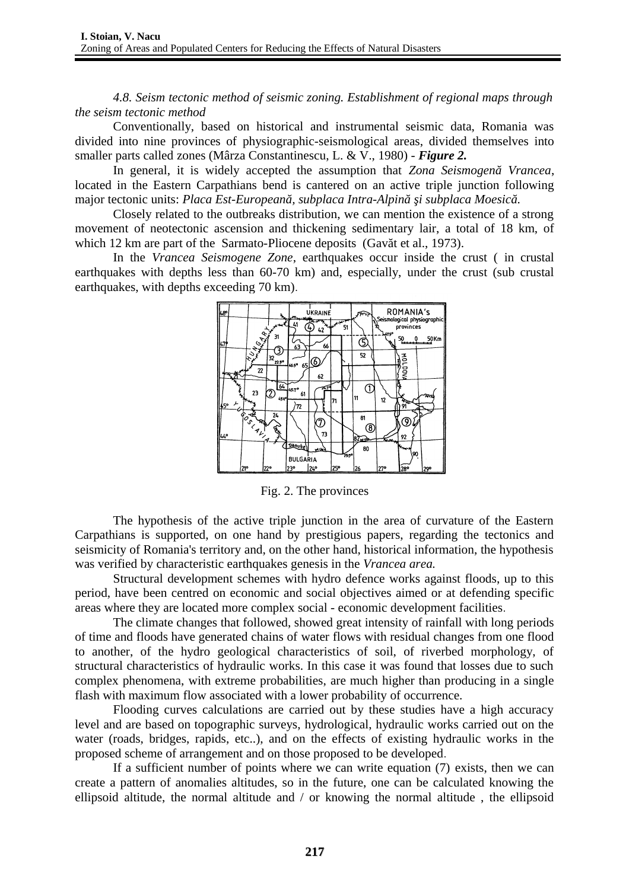*4.8. Seism tectonic method of seismic zoning. Establishment of regional maps through the seism tectonic method* 

Conventionally, based on historical and instrumental seismic data, Romania was divided into nine provinces of physiographic-seismological areas, divided themselves into smaller parts called zones (Mârza Constantinescu, L. & V., 1980) - *Figure 2.*

In general, it is widely accepted the assumption that *Zona Seismogenă Vrancea*, located in the Eastern Carpathians bend is cantered on an active triple junction following major tectonic units: *Placa Est-Europeană, subplaca Intra-Alpină şi subplaca Moesică.*

Closely related to the outbreaks distribution, we can mention the existence of a strong movement of neotectonic ascension and thickening sedimentary lair, a total of 18 km, of which 12 km are part of the Sarmato-Pliocene deposits (Gavăt et al., 1973).

In the *Vrancea Seismogene Zone*, earthquakes occur inside the crust ( in crustal earthquakes with depths less than 60-70 km) and, especially, under the crust (sub crustal earthquakes, with depths exceeding 70 km).



Fig. 2. The provinces

The hypothesis of the active triple junction in the area of curvature of the Eastern Carpathians is supported, on one hand by prestigious papers, regarding the tectonics and seismicity of Romania's territory and, on the other hand, historical information, the hypothesis was verified by characteristic earthquakes genesis in the *Vrancea area.*

Structural development schemes with hydro defence works against floods, up to this period, have been centred on economic and social objectives aimed or at defending specific areas where they are located more complex social - economic development facilities.

The climate changes that followed, showed great intensity of rainfall with long periods of time and floods have generated chains of water flows with residual changes from one flood to another, of the hydro geological characteristics of soil, of riverbed morphology, of structural characteristics of hydraulic works. In this case it was found that losses due to such complex phenomena, with extreme probabilities, are much higher than producing in a single flash with maximum flow associated with a lower probability of occurrence.

Flooding curves calculations are carried out by these studies have a high accuracy level and are based on topographic surveys, hydrological, hydraulic works carried out on the water (roads, bridges, rapids, etc..), and on the effects of existing hydraulic works in the proposed scheme of arrangement and on those proposed to be developed.

If a sufficient number of points where we can write equation (7) exists, then we can create a pattern of anomalies altitudes, so in the future, one can be calculated knowing the ellipsoid altitude, the normal altitude and / or knowing the normal altitude , the ellipsoid